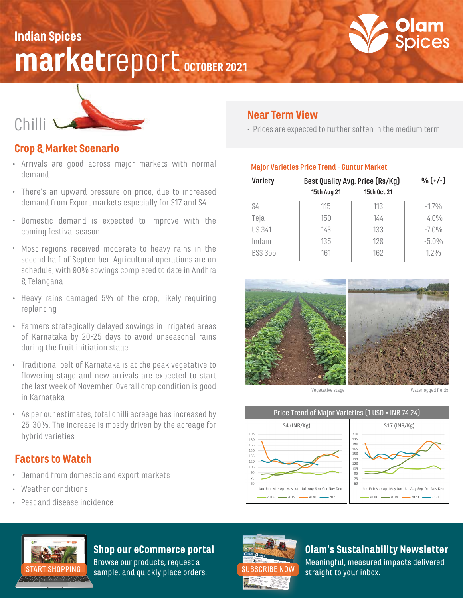# **marketreport** OCTOBER 2021 Indian Spices





## Crop & Market Scenario

- Arrivals are good across major markets with normal demand
- There's an upward pressure on price, due to increased demand from Export markets especially for S17 and S4
- Domestic demand is expected to improve with the coming festival season
- Most regions received moderate to heavy rains in the second half of September. Agricultural operations are on schedule, with 90% sowings completed to date in Andhra & Telangana
- Heavy rains damaged 5% of the crop, likely requiring replanting
- Farmers strategically delayed sowings in irrigated areas of Karnataka by 20-25 days to avoid unseasonal rains during the fruit initiation stage
- Traditional belt of Karnataka is at the peak vegetative to flowering stage and new arrivals are expected to start the last week of November. Overall crop condition is good in Karnataka
- As per our estimates, total chilli acreage has increased by 25-30%. The increase is mostly driven by the acreage for hybrid varieties

#### Factors to Watch

- Demand from domestic and export markets
- Weather conditions
- Pest and disease incidence

## Near Term View

Prices are expected to further soften in the medium term

#### **Major Varieties Price Trend - Guntur Market**

| Best Quality Avg. Price (Rs/Kg) |             | $\frac{0}{0}$ $(+/-)$ |
|---------------------------------|-------------|-----------------------|
| 15th Aug 21                     | 15th Oct 21 |                       |
| 115                             | 113         | $-170/n$              |
| 150                             | 144         | $-4.0\%$              |
| 143                             | 133         | $-7.0\%$              |
| 135                             | 128         | $-5.0%$               |
| 161                             | 162         | 12%                   |
|                                 |             |                       |



Vegetative stage

Waterlogged fields







## Shop our eCommerce portal

Browse our products, request a [START SHOPPING](https://olamspices.com/) sample, and quickly place orders. [SUBSCRIBE NOW](https://share.hsforms.com/1qaxzrnpDRHmIQ1AqIX0hyg3iok1?__hstc=259259733.7a648a28b6e5bb5b8de8b6e8a0a3fad3.1584392470278.1611014996474.1611074013531.443&__hssc=259259733.2.1611074013531&__hsfp=4172550346) straight to your inbox.



## Olam's Sustainability Newsletter

Meaningful, measured impacts delivered